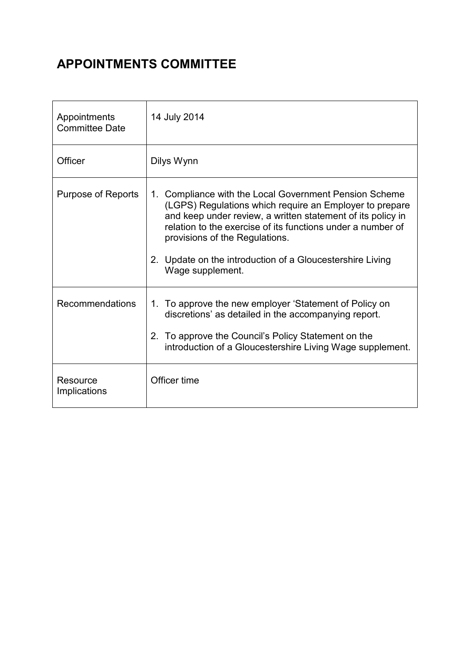# APPOINTMENTS COMMITTEE

| Appointments<br><b>Committee Date</b> | 14 July 2014                                                                                                                                                                                                                                                                                                                                                       |
|---------------------------------------|--------------------------------------------------------------------------------------------------------------------------------------------------------------------------------------------------------------------------------------------------------------------------------------------------------------------------------------------------------------------|
| Officer                               | Dilys Wynn                                                                                                                                                                                                                                                                                                                                                         |
| Purpose of Reports                    | 1. Compliance with the Local Government Pension Scheme<br>(LGPS) Regulations which require an Employer to prepare<br>and keep under review, a written statement of its policy in<br>relation to the exercise of its functions under a number of<br>provisions of the Regulations.<br>2. Update on the introduction of a Gloucestershire Living<br>Wage supplement. |
| Recommendations                       | 1. To approve the new employer 'Statement of Policy on<br>discretions' as detailed in the accompanying report.<br>To approve the Council's Policy Statement on the<br>2.<br>introduction of a Gloucestershire Living Wage supplement.                                                                                                                              |
| Resource<br>Implications              | Officer time                                                                                                                                                                                                                                                                                                                                                       |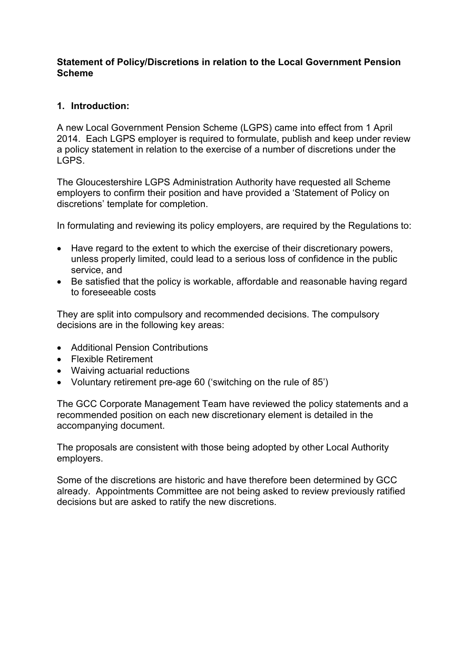#### Statement of Policy/Discretions in relation to the Local Government Pension Scheme

#### 1. Introduction:

A new Local Government Pension Scheme (LGPS) came into effect from 1 April 2014. Each LGPS employer is required to formulate, publish and keep under review a policy statement in relation to the exercise of a number of discretions under the LGPS.

The Gloucestershire LGPS Administration Authority have requested all Scheme employers to confirm their position and have provided a 'Statement of Policy on discretions' template for completion.

In formulating and reviewing its policy employers, are required by the Regulations to:

- Have regard to the extent to which the exercise of their discretionary powers, unless properly limited, could lead to a serious loss of confidence in the public service, and
- Be satisfied that the policy is workable, affordable and reasonable having regard to foreseeable costs

They are split into compulsory and recommended decisions. The compulsory decisions are in the following key areas:

- Additional Pension Contributions
- Flexible Retirement
- Waiving actuarial reductions
- Voluntary retirement pre-age 60 ('switching on the rule of 85')

The GCC Corporate Management Team have reviewed the policy statements and a recommended position on each new discretionary element is detailed in the accompanying document.

The proposals are consistent with those being adopted by other Local Authority employers.

Some of the discretions are historic and have therefore been determined by GCC already. Appointments Committee are not being asked to review previously ratified decisions but are asked to ratify the new discretions.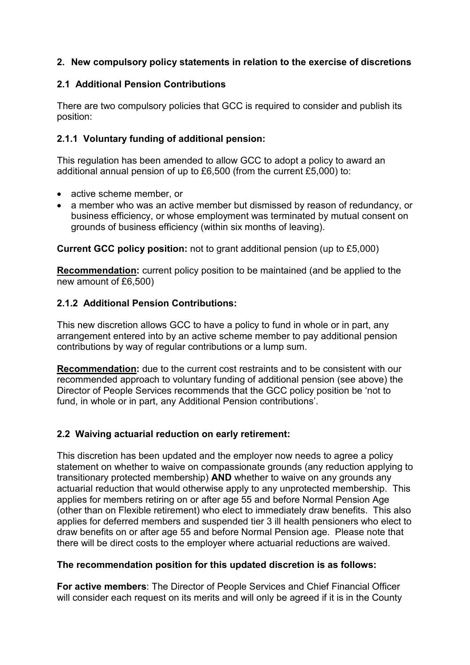## 2. New compulsory policy statements in relation to the exercise of discretions

## 2.1 Additional Pension Contributions

There are two compulsory policies that GCC is required to consider and publish its position:

## 2.1.1 Voluntary funding of additional pension:

This regulation has been amended to allow GCC to adopt a policy to award an additional annual pension of up to £6,500 (from the current £5,000) to:

- active scheme member, or
- a member who was an active member but dismissed by reason of redundancy, or business efficiency, or whose employment was terminated by mutual consent on grounds of business efficiency (within six months of leaving).

Current GCC policy position: not to grant additional pension (up to £5,000)

Recommendation: current policy position to be maintained (and be applied to the new amount of £6,500)

## 2.1.2 Additional Pension Contributions:

This new discretion allows GCC to have a policy to fund in whole or in part, any arrangement entered into by an active scheme member to pay additional pension contributions by way of regular contributions or a lump sum.

Recommendation: due to the current cost restraints and to be consistent with our recommended approach to voluntary funding of additional pension (see above) the Director of People Services recommends that the GCC policy position be 'not to fund, in whole or in part, any Additional Pension contributions'.

# 2.2 Waiving actuarial reduction on early retirement:

This discretion has been updated and the employer now needs to agree a policy statement on whether to waive on compassionate grounds (any reduction applying to transitionary protected membership) AND whether to waive on any grounds any actuarial reduction that would otherwise apply to any unprotected membership. This applies for members retiring on or after age 55 and before Normal Pension Age (other than on Flexible retirement) who elect to immediately draw benefits. This also applies for deferred members and suspended tier 3 ill health pensioners who elect to draw benefits on or after age 55 and before Normal Pension age. Please note that there will be direct costs to the employer where actuarial reductions are waived.

#### The recommendation position for this updated discretion is as follows:

For active members: The Director of People Services and Chief Financial Officer will consider each request on its merits and will only be agreed if it is in the County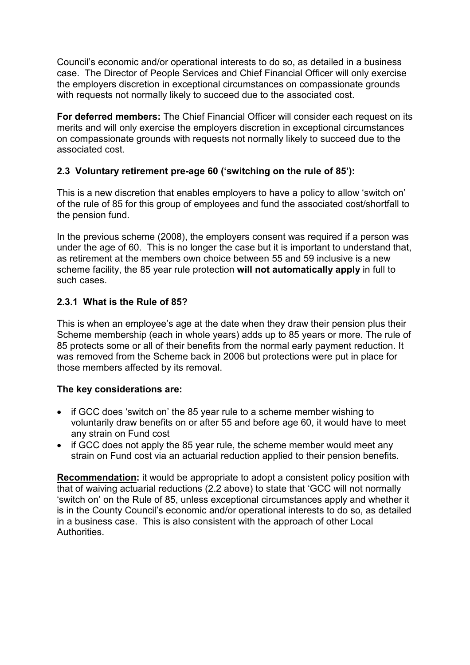Council's economic and/or operational interests to do so, as detailed in a business case. The Director of People Services and Chief Financial Officer will only exercise the employers discretion in exceptional circumstances on compassionate grounds with requests not normally likely to succeed due to the associated cost.

For deferred members: The Chief Financial Officer will consider each request on its merits and will only exercise the employers discretion in exceptional circumstances on compassionate grounds with requests not normally likely to succeed due to the associated cost.

## 2.3 Voluntary retirement pre-age 60 ('switching on the rule of 85'):

This is a new discretion that enables employers to have a policy to allow 'switch on' of the rule of 85 for this group of employees and fund the associated cost/shortfall to the pension fund.

In the previous scheme (2008), the employers consent was required if a person was under the age of 60. This is no longer the case but it is important to understand that, as retirement at the members own choice between 55 and 59 inclusive is a new scheme facility, the 85 year rule protection will not automatically apply in full to such cases.

#### 2.3.1 What is the Rule of 85?

This is when an employee's age at the date when they draw their pension plus their Scheme membership (each in whole years) adds up to 85 years or more. The rule of 85 protects some or all of their benefits from the normal early payment reduction. It was removed from the Scheme back in 2006 but protections were put in place for those members affected by its removal.

#### The key considerations are:

- if GCC does 'switch on' the 85 year rule to a scheme member wishing to voluntarily draw benefits on or after 55 and before age 60, it would have to meet any strain on Fund cost
- if GCC does not apply the 85 year rule, the scheme member would meet any strain on Fund cost via an actuarial reduction applied to their pension benefits.

Recommendation: it would be appropriate to adopt a consistent policy position with that of waiving actuarial reductions (2.2 above) to state that 'GCC will not normally 'switch on' on the Rule of 85, unless exceptional circumstances apply and whether it is in the County Council's economic and/or operational interests to do so, as detailed in a business case. This is also consistent with the approach of other Local Authorities.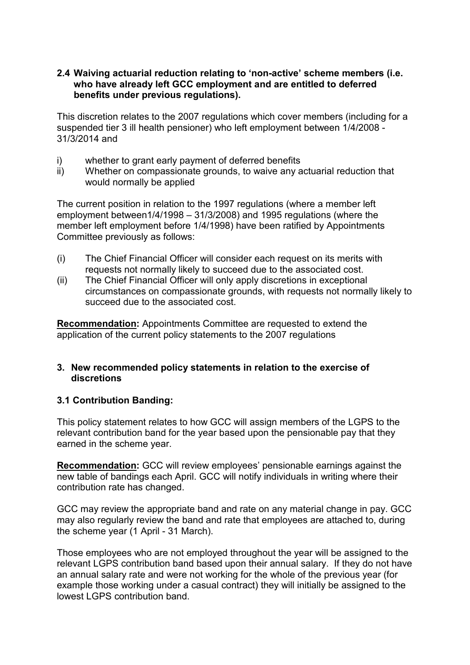#### 2.4 Waiving actuarial reduction relating to 'non-active' scheme members (i.e. who have already left GCC employment and are entitled to deferred benefits under previous regulations).

This discretion relates to the 2007 regulations which cover members (including for a suspended tier 3 ill health pensioner) who left employment between 1/4/2008 - 31/3/2014 and

- i) whether to grant early payment of deferred benefits
- ii) Whether on compassionate grounds, to waive any actuarial reduction that would normally be applied

The current position in relation to the 1997 regulations (where a member left employment between1/4/1998 – 31/3/2008) and 1995 regulations (where the member left employment before 1/4/1998) have been ratified by Appointments Committee previously as follows:

- (i) The Chief Financial Officer will consider each request on its merits with requests not normally likely to succeed due to the associated cost.
- (ii) The Chief Financial Officer will only apply discretions in exceptional circumstances on compassionate grounds, with requests not normally likely to succeed due to the associated cost.

Recommendation: Appointments Committee are requested to extend the application of the current policy statements to the 2007 regulations

#### 3. New recommended policy statements in relation to the exercise of discretions

#### 3.1 Contribution Banding:

This policy statement relates to how GCC will assign members of the LGPS to the relevant contribution band for the year based upon the pensionable pay that they earned in the scheme year.

Recommendation: GCC will review employees' pensionable earnings against the new table of bandings each April. GCC will notify individuals in writing where their contribution rate has changed.

GCC may review the appropriate band and rate on any material change in pay. GCC may also regularly review the band and rate that employees are attached to, during the scheme year (1 April - 31 March).

Those employees who are not employed throughout the year will be assigned to the relevant LGPS contribution band based upon their annual salary. If they do not have an annual salary rate and were not working for the whole of the previous year (for example those working under a casual contract) they will initially be assigned to the lowest LGPS contribution band.